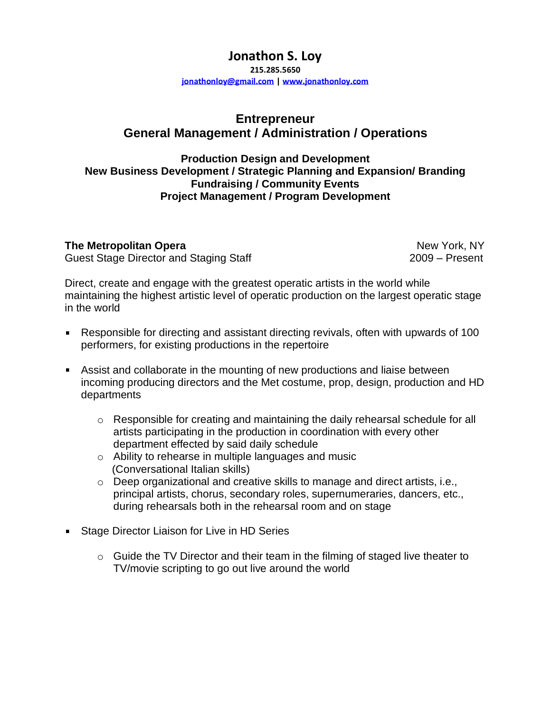# **Jonathon S. Loy**

**215.285.5650**

**[jonathonloy@gmail.com](mailto:jonathonloy@gmail.com) | [www.jonathonloy.com](http://www.jonathonloy.com/)**

## **Entrepreneur General Management / Administration / Operations**

#### **Production Design and Development New Business Development / Strategic Planning and Expansion/ Branding Fundraising / Community Events Project Management / Program Development**

**The Metropolitan Opera New York, NY New York, NY** Guest Stage Director and Staging Staff **2009** – Present

Direct, create and engage with the greatest operatic artists in the world while maintaining the highest artistic level of operatic production on the largest operatic stage in the world

- Responsible for directing and assistant directing revivals, often with upwards of 100 performers, for existing productions in the repertoire
- Assist and collaborate in the mounting of new productions and liaise between incoming producing directors and the Met costume, prop, design, production and HD departments
	- $\circ$  Responsible for creating and maintaining the daily rehearsal schedule for all artists participating in the production in coordination with every other department effected by said daily schedule
	- o Ability to rehearse in multiple languages and music (Conversational Italian skills)
	- $\circ$  Deep organizational and creative skills to manage and direct artists, i.e., principal artists, chorus, secondary roles, supernumeraries, dancers, etc., during rehearsals both in the rehearsal room and on stage
- **Stage Director Liaison for Live in HD Series** 
	- $\circ$  Guide the TV Director and their team in the filming of staged live theater to TV/movie scripting to go out live around the world